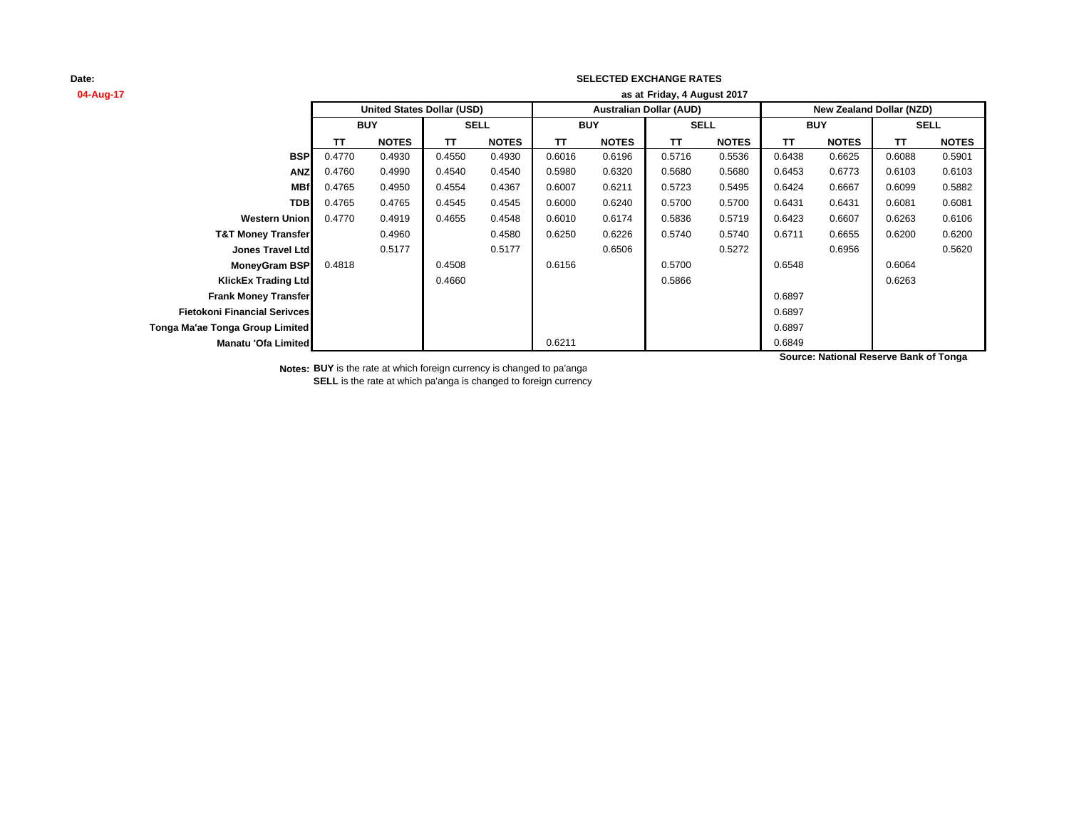### **SELECTED EXCHANGE RATES**

| 04-Aug-17                           | as at Friday, 4 August 2017 |                                   |             |              |                                |              |             |              |                                 |              |             |              |
|-------------------------------------|-----------------------------|-----------------------------------|-------------|--------------|--------------------------------|--------------|-------------|--------------|---------------------------------|--------------|-------------|--------------|
|                                     |                             | <b>United States Dollar (USD)</b> |             |              | <b>Australian Dollar (AUD)</b> |              |             |              | <b>New Zealand Dollar (NZD)</b> |              |             |              |
|                                     | <b>BUY</b>                  |                                   | <b>SELL</b> |              | <b>BUY</b>                     |              | <b>SELL</b> |              | <b>BUY</b>                      |              | <b>SELL</b> |              |
|                                     | TΤ                          | <b>NOTES</b>                      | <b>TT</b>   | <b>NOTES</b> | <b>TT</b>                      | <b>NOTES</b> | <b>TT</b>   | <b>NOTES</b> | TΤ                              | <b>NOTES</b> | TΤ          | <b>NOTES</b> |
| <b>BSP</b>                          | 0.4770                      | 0.4930                            | 0.4550      | 0.4930       | 0.6016                         | 0.6196       | 0.5716      | 0.5536       | 0.6438                          | 0.6625       | 0.6088      | 0.5901       |
| <b>ANZ</b>                          | 0.4760                      | 0.4990                            | 0.4540      | 0.4540       | 0.5980                         | 0.6320       | 0.5680      | 0.5680       | 0.6453                          | 0.6773       | 0.6103      | 0.6103       |
| <b>MBf</b>                          | 0.4765                      | 0.4950                            | 0.4554      | 0.4367       | 0.6007                         | 0.6211       | 0.5723      | 0.5495       | 0.6424                          | 0.6667       | 0.6099      | 0.5882       |
| <b>TDB</b>                          | 0.4765                      | 0.4765                            | 0.4545      | 0.4545       | 0.6000                         | 0.6240       | 0.5700      | 0.5700       | 0.6431                          | 0.6431       | 0.6081      | 0.6081       |
| <b>Western Union</b>                | 0.4770                      | 0.4919                            | 0.4655      | 0.4548       | 0.6010                         | 0.6174       | 0.5836      | 0.5719       | 0.6423                          | 0.6607       | 0.6263      | 0.6106       |
| <b>T&amp;T Money Transfer</b>       |                             | 0.4960                            |             | 0.4580       | 0.6250                         | 0.6226       | 0.5740      | 0.5740       | 0.6711                          | 0.6655       | 0.6200      | 0.6200       |
| Jones Travel Ltd                    |                             | 0.5177                            |             | 0.5177       |                                | 0.6506       |             | 0.5272       |                                 | 0.6956       |             | 0.5620       |
| <b>MoneyGram BSP</b>                | 0.4818                      |                                   | 0.4508      |              | 0.6156                         |              | 0.5700      |              | 0.6548                          |              | 0.6064      |              |
| <b>KlickEx Trading Ltd</b>          |                             |                                   | 0.4660      |              |                                |              | 0.5866      |              |                                 |              | 0.6263      |              |
| <b>Frank Money Transfer</b>         |                             |                                   |             |              |                                |              |             |              | 0.6897                          |              |             |              |
| <b>Fietokoni Financial Serivces</b> |                             |                                   |             |              |                                |              |             |              | 0.6897                          |              |             |              |
| Tonga Ma'ae Tonga Group Limited     |                             |                                   |             |              |                                |              |             |              | 0.6897                          |              |             |              |
| Manatu 'Ofa Limited                 |                             |                                   |             |              | 0.6211                         |              |             |              | 0.6849                          |              |             |              |

**Source: National Reserve Bank of Tonga**

**Notes: BUY** is the rate at which foreign currency is changed to pa'anga **SELL** is the rate at which pa'anga is changed to foreign currency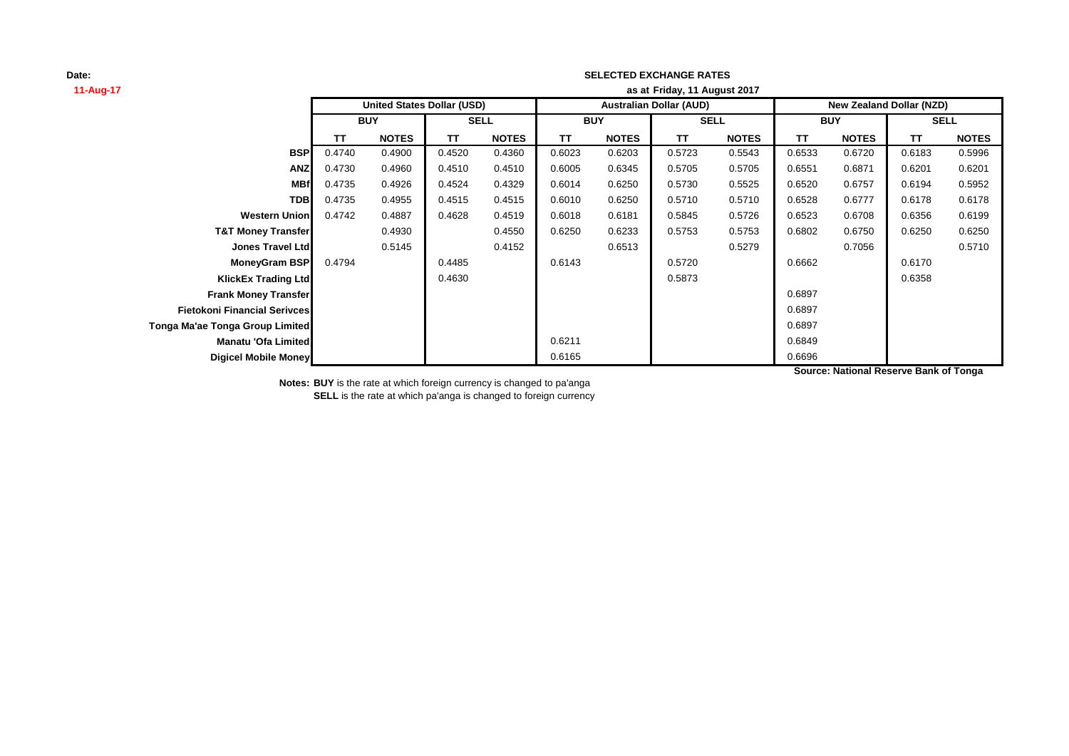### **SELECTED EXCHANGE RATES**

| 11-Aug-17                           | as at Friday, 11 August 2017 |                                   |             |              |            |              |                                |              |                          |              |        |              |
|-------------------------------------|------------------------------|-----------------------------------|-------------|--------------|------------|--------------|--------------------------------|--------------|--------------------------|--------------|--------|--------------|
|                                     |                              | <b>United States Dollar (USD)</b> |             |              |            |              | <b>Australian Dollar (AUD)</b> |              | New Zealand Dollar (NZD) |              |        |              |
|                                     | <b>BUY</b>                   |                                   | <b>SELL</b> |              | <b>BUY</b> |              | <b>SELL</b>                    |              | <b>BUY</b>               |              |        | <b>SELL</b>  |
|                                     | ΤT                           | <b>NOTES</b>                      | TT          | <b>NOTES</b> | ΤT         | <b>NOTES</b> | ΤT                             | <b>NOTES</b> | TT                       | <b>NOTES</b> | TT.    | <b>NOTES</b> |
| <b>BSP</b>                          | 0.4740                       | 0.4900                            | 0.4520      | 0.4360       | 0.6023     | 0.6203       | 0.5723                         | 0.5543       | 0.6533                   | 0.6720       | 0.6183 | 0.5996       |
| <b>ANZ</b>                          | 0.4730                       | 0.4960                            | 0.4510      | 0.4510       | 0.6005     | 0.6345       | 0.5705                         | 0.5705       | 0.6551                   | 0.6871       | 0.6201 | 0.6201       |
| <b>MBf</b>                          | 0.4735                       | 0.4926                            | 0.4524      | 0.4329       | 0.6014     | 0.6250       | 0.5730                         | 0.5525       | 0.6520                   | 0.6757       | 0.6194 | 0.5952       |
| <b>TDB</b>                          | 0.4735                       | 0.4955                            | 0.4515      | 0.4515       | 0.6010     | 0.6250       | 0.5710                         | 0.5710       | 0.6528                   | 0.6777       | 0.6178 | 0.6178       |
| <b>Western Union</b>                | 0.4742                       | 0.4887                            | 0.4628      | 0.4519       | 0.6018     | 0.6181       | 0.5845                         | 0.5726       | 0.6523                   | 0.6708       | 0.6356 | 0.6199       |
| <b>T&amp;T Money Transfer</b>       |                              | 0.4930                            |             | 0.4550       | 0.6250     | 0.6233       | 0.5753                         | 0.5753       | 0.6802                   | 0.6750       | 0.6250 | 0.6250       |
| <b>Jones Travel Ltd</b>             |                              | 0.5145                            |             | 0.4152       |            | 0.6513       |                                | 0.5279       |                          | 0.7056       |        | 0.5710       |
| <b>MoneyGram BSP</b>                | 0.4794                       |                                   | 0.4485      |              | 0.6143     |              | 0.5720                         |              | 0.6662                   |              | 0.6170 |              |
| <b>KlickEx Trading Ltd</b>          |                              |                                   | 0.4630      |              |            |              | 0.5873                         |              |                          |              | 0.6358 |              |
| <b>Frank Money Transfer</b>         |                              |                                   |             |              |            |              |                                |              | 0.6897                   |              |        |              |
| <b>Fietokoni Financial Serivces</b> |                              |                                   |             |              |            |              |                                |              | 0.6897                   |              |        |              |
| Tonga Ma'ae Tonga Group Limited     |                              |                                   |             |              |            |              |                                |              | 0.6897                   |              |        |              |
| Manatu 'Ofa Limited                 |                              |                                   |             |              | 0.6211     |              |                                |              | 0.6849                   |              |        |              |
| Digicel Mobile Money                |                              |                                   |             |              | 0.6165     |              |                                |              | 0.6696                   |              |        |              |

**Source: National Reserve Bank of Tonga**

**Notes: BUY** is the rate at which foreign currency is changed to pa'anga

**SELL** is the rate at which pa'anga is changed to foreign currency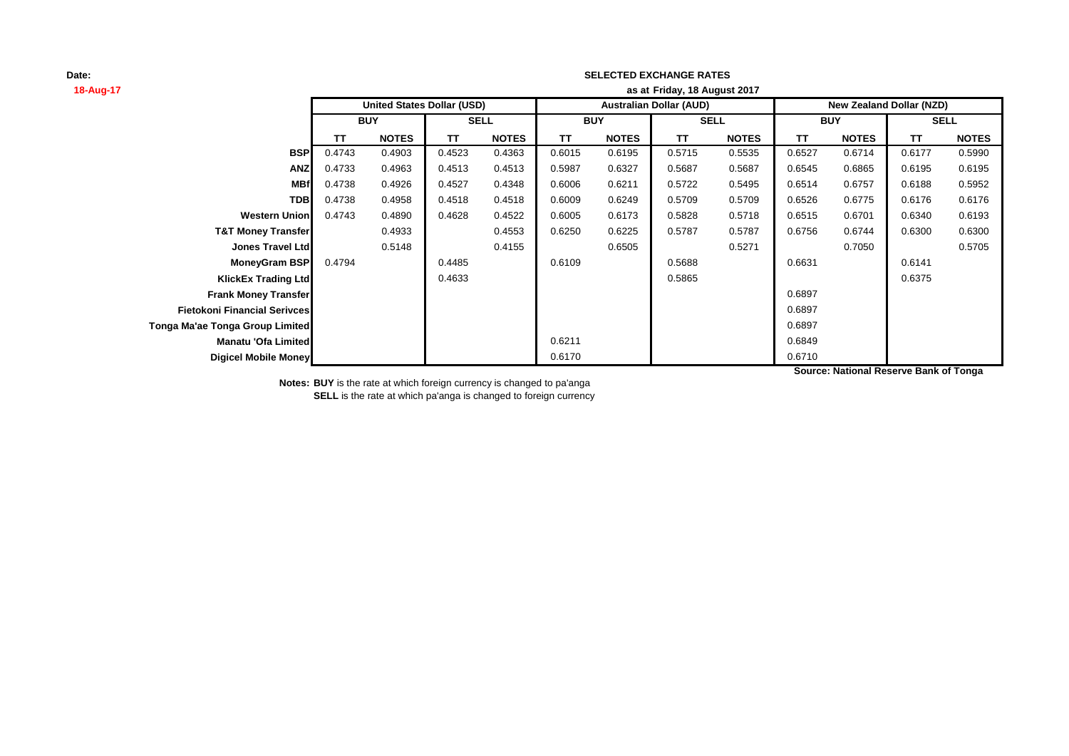## **SELECTED EXCHANGE RATES**

| 18-Aug-17                           | as at Friday, 18 August 2017 |                                   |             |              |                                |              |             |              |                                 |              |             |              |
|-------------------------------------|------------------------------|-----------------------------------|-------------|--------------|--------------------------------|--------------|-------------|--------------|---------------------------------|--------------|-------------|--------------|
|                                     |                              | <b>United States Dollar (USD)</b> |             |              | <b>Australian Dollar (AUD)</b> |              |             |              | <b>New Zealand Dollar (NZD)</b> |              |             |              |
|                                     | <b>BUY</b>                   |                                   | <b>SELL</b> |              | <b>BUY</b>                     |              | <b>SELL</b> |              | <b>BUY</b>                      |              | <b>SELL</b> |              |
|                                     | ΤT                           | <b>NOTES</b>                      | ΤT          | <b>NOTES</b> | ΤT                             | <b>NOTES</b> | ΤT          | <b>NOTES</b> | ΤT                              | <b>NOTES</b> | TT          | <b>NOTES</b> |
| <b>BSP</b>                          | 0.4743                       | 0.4903                            | 0.4523      | 0.4363       | 0.6015                         | 0.6195       | 0.5715      | 0.5535       | 0.6527                          | 0.6714       | 0.6177      | 0.5990       |
| <b>ANZ</b>                          | 0.4733                       | 0.4963                            | 0.4513      | 0.4513       | 0.5987                         | 0.6327       | 0.5687      | 0.5687       | 0.6545                          | 0.6865       | 0.6195      | 0.6195       |
| <b>MBf</b>                          | 0.4738                       | 0.4926                            | 0.4527      | 0.4348       | 0.6006                         | 0.6211       | 0.5722      | 0.5495       | 0.6514                          | 0.6757       | 0.6188      | 0.5952       |
| <b>TDB</b>                          | 0.4738                       | 0.4958                            | 0.4518      | 0.4518       | 0.6009                         | 0.6249       | 0.5709      | 0.5709       | 0.6526                          | 0.6775       | 0.6176      | 0.6176       |
| <b>Western Union</b>                | 0.4743                       | 0.4890                            | 0.4628      | 0.4522       | 0.6005                         | 0.6173       | 0.5828      | 0.5718       | 0.6515                          | 0.6701       | 0.6340      | 0.6193       |
| <b>T&amp;T Money Transfer</b>       |                              | 0.4933                            |             | 0.4553       | 0.6250                         | 0.6225       | 0.5787      | 0.5787       | 0.6756                          | 0.6744       | 0.6300      | 0.6300       |
| <b>Jones Travel Ltd</b>             |                              | 0.5148                            |             | 0.4155       |                                | 0.6505       |             | 0.5271       |                                 | 0.7050       |             | 0.5705       |
| <b>MoneyGram BSP</b>                | 0.4794                       |                                   | 0.4485      |              | 0.6109                         |              | 0.5688      |              | 0.6631                          |              | 0.6141      |              |
| <b>KlickEx Trading Ltd</b>          |                              |                                   | 0.4633      |              |                                |              | 0.5865      |              |                                 |              | 0.6375      |              |
| <b>Frank Money Transfer</b>         |                              |                                   |             |              |                                |              |             |              | 0.6897                          |              |             |              |
| <b>Fietokoni Financial Serivces</b> |                              |                                   |             |              |                                |              |             |              | 0.6897                          |              |             |              |
| Tonga Ma'ae Tonga Group Limited     |                              |                                   |             |              |                                |              |             |              | 0.6897                          |              |             |              |
| Manatu 'Ofa Limited                 |                              |                                   |             |              | 0.6211                         |              |             |              | 0.6849                          |              |             |              |
| Digicel Mobile Money                |                              |                                   |             |              | 0.6170                         |              |             |              | 0.6710                          |              |             |              |

**Source: National Reserve Bank of Tonga**

**Notes: BUY** is the rate at which foreign currency is changed to pa'anga

**SELL** is the rate at which pa'anga is changed to foreign currency